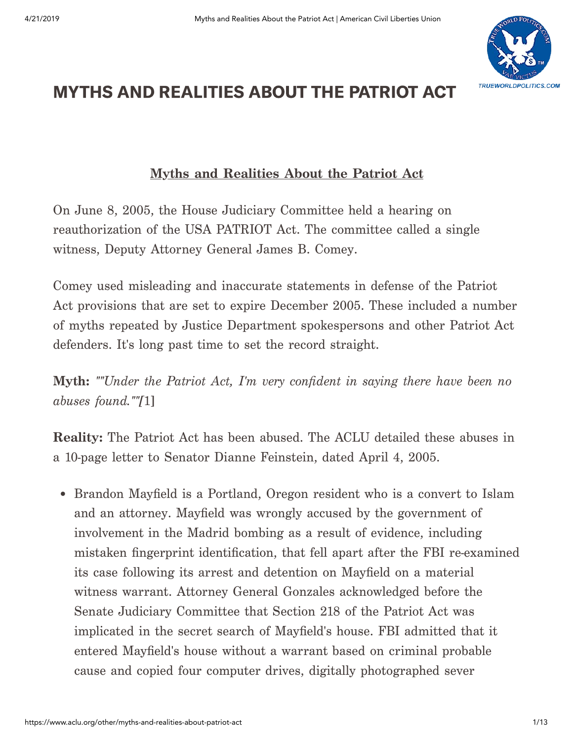

# [MYTHS AND REALITIES ABOUT THE PATRIOT ACT](https://www.aclu.org/other/myths-and-realities-about-patriot-act)

# Myths and Realities About the Patriot Act

On June 8, 2005, the House Judiciary Committee held a hearing on reauthorization of the USA PATRIOT Act. The committee called a single witness, Deputy Attorney General James B. Comey.

Comey used misleading and inaccurate statements in defense of the Patriot Act provisions that are set to expire December 2005. These included a number of myths repeated by Justice Department spokespersons and other Patriot Act defenders. It's long past time to set the record straight.

Myth: *""Under the Patriot Act, I'm very confident in saying there have been no abuses found.""[*1]

Reality: The Patriot Act has been abused. The ACLU detailed these abuses in a 10-page letter to Senator Dianne Feinstein, dated April 4, 2005.

• Brandon Mayfield is a Portland, Oregon resident who is a convert to Islam and an attorney. Mayfield was wrongly accused by the government of involvement in the Madrid bombing as a result of evidence, including mistaken fingerprint identification, that fell apart after the FBI re-examined its case following its arrest and detention on Mayfield on a material witness warrant. Attorney General Gonzales acknowledged before the Senate Judiciary Committee that Section 218 of the Patriot Act was implicated in the secret search of Mayfield's house. FBI admitted that it entered Mayfield's house without a warrant based on criminal probable cause and copied four computer drives, digitally photographed sever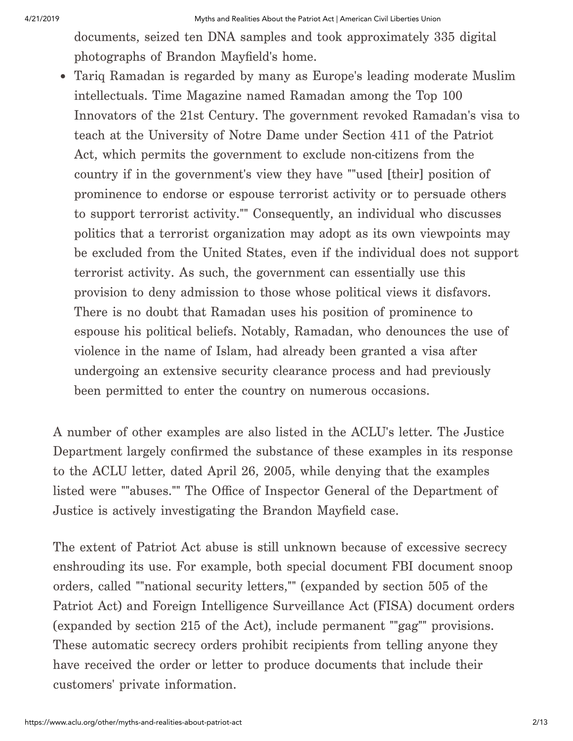documents, seized ten DNA samples and took approximately 335 digital photographs of Brandon Mayfield's home.

Tariq Ramadan is regarded by many as Europe's leading moderate Muslim intellectuals. Time Magazine named Ramadan among the Top 100 Innovators of the 21st Century. The government revoked Ramadan's visa to teach at the University of Notre Dame under Section 411 of the Patriot Act, which permits the government to exclude non-citizens from the country if in the government's view they have ""used [their] position of prominence to endorse or espouse terrorist activity or to persuade others to support terrorist activity."" Consequently, an individual who discusses politics that a terrorist organization may adopt as its own viewpoints may be excluded from the United States, even if the individual does not support terrorist activity. As such, the government can essentially use this provision to deny admission to those whose political views it disfavors. There is no doubt that Ramadan uses his position of prominence to espouse his political beliefs. Notably, Ramadan, who denounces the use of violence in the name of Islam, had already been granted a visa after undergoing an extensive security clearance process and had previously been permitted to enter the country on numerous occasions.

A number of other examples are also listed in the ACLU's letter. The Justice Department largely confirmed the substance of these examples in its response to the ACLU letter, dated April 26, 2005, while denying that the examples listed were ""abuses."" The Office of Inspector General of the Department of Justice is actively investigating the Brandon Mayfield case.

The extent of Patriot Act abuse is still unknown because of excessive secrecy enshrouding its use. For example, both special document FBI document snoop orders, called ""national security letters,"" (expanded by section 505 of the Patriot Act) and Foreign Intelligence Surveillance Act (FISA) document orders (expanded by section 215 of the Act), include permanent ""gag"" provisions. These automatic secrecy orders prohibit recipients from telling anyone they have received the order or letter to produce documents that include their customers' private information.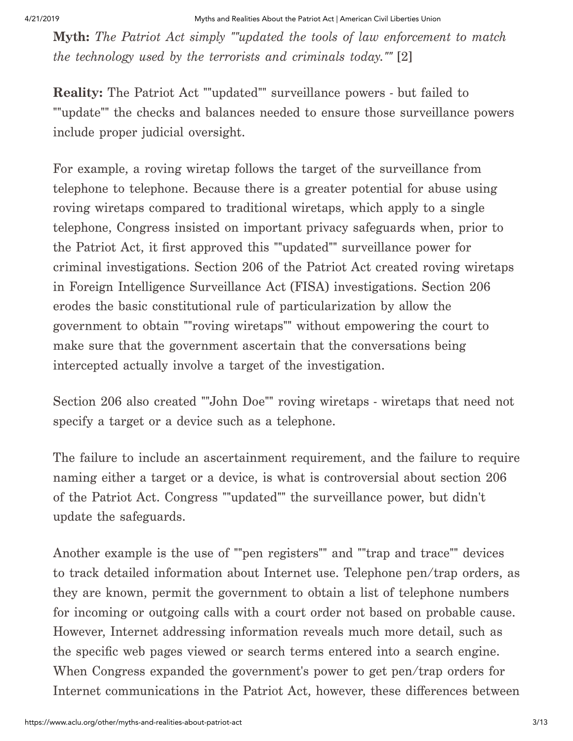Myth: *The Patriot Act simply ""updated the tools of law enforcement to match the technology used by the terrorists and criminals today.""* [2]

Reality: The Patriot Act ""updated"" surveillance powers - but failed to ""update"" the checks and balances needed to ensure those surveillance powers include proper judicial oversight.

For example, a roving wiretap follows the target of the surveillance from telephone to telephone. Because there is a greater potential for abuse using roving wiretaps compared to traditional wiretaps, which apply to a single telephone, Congress insisted on important privacy safeguards when, prior to the Patriot Act, it first approved this ""updated"" surveillance power for criminal investigations. Section 206 of the Patriot Act created roving wiretaps in Foreign Intelligence Surveillance Act (FISA) investigations. Section 206 erodes the basic constitutional rule of particularization by allow the government to obtain ""roving wiretaps"" without empowering the court to make sure that the government ascertain that the conversations being intercepted actually involve a target of the investigation.

Section 206 also created ""John Doe"" roving wiretaps - wiretaps that need not specify a target or a device such as a telephone.

The failure to include an ascertainment requirement, and the failure to require naming either a target or a device, is what is controversial about section 206 of the Patriot Act. Congress ""updated"" the surveillance power, but didn't update the safeguards.

Another example is the use of ""pen registers"" and ""trap and trace"" devices to track detailed information about Internet use. Telephone pen/trap orders, as they are known, permit the government to obtain a list of telephone numbers for incoming or outgoing calls with a court order not based on probable cause. However, Internet addressing information reveals much more detail, such as the specific web pages viewed or search terms entered into a search engine. When Congress expanded the government's power to get pen/trap orders for Internet communications in the Patriot Act, however, these differences between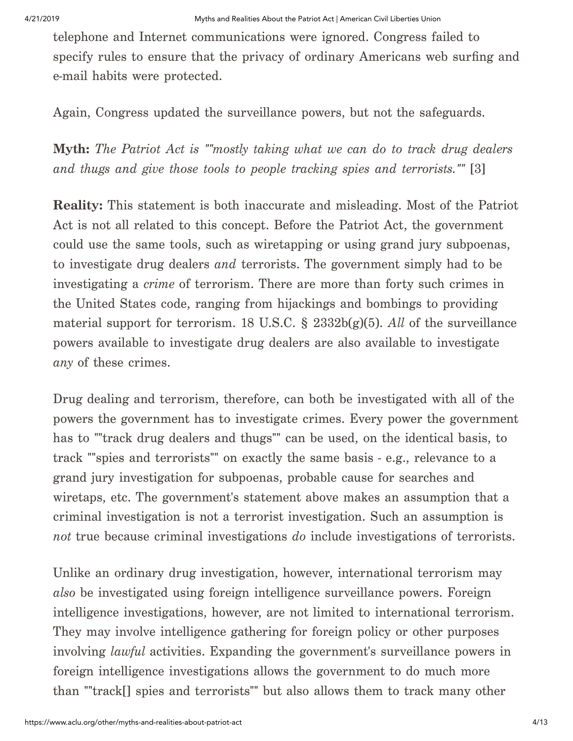telephone and Internet communications were ignored. Congress failed to specify rules to ensure that the privacy of ordinary Americans web surfing and e-mail habits were protected.

Again, Congress updated the surveillance powers, but not the safeguards.

Myth: *The Patriot Act is ""mostly taking what we can do to track drug dealers and thugs and give those tools to people tracking spies and terrorists.""* [3]

Reality: This statement is both inaccurate and misleading. Most of the Patriot Act is not all related to this concept. Before the Patriot Act, the government could use the same tools, such as wiretapping or using grand jury subpoenas, to investigate drug dealers *and* terrorists. The government simply had to be investigating a *crime* of terrorism. There are more than forty such crimes in the United States code, ranging from hijackings and bombings to providing material support for terrorism. 18 U.S.C. § 2332b(g)(5). *All* of the surveillance powers available to investigate drug dealers are also available to investigate *any* of these crimes.

Drug dealing and terrorism, therefore, can both be investigated with all of the powers the government has to investigate crimes. Every power the government has to ""track drug dealers and thugs"" can be used, on the identical basis, to track ""spies and terrorists"" on exactly the same basis - e.g., relevance to a grand jury investigation for subpoenas, probable cause for searches and wiretaps, etc. The government's statement above makes an assumption that a criminal investigation is not a terrorist investigation. Such an assumption is *not* true because criminal investigations *do* include investigations of terrorists.

Unlike an ordinary drug investigation, however, international terrorism may *also* be investigated using foreign intelligence surveillance powers. Foreign intelligence investigations, however, are not limited to international terrorism. They may involve intelligence gathering for foreign policy or other purposes involving *lawful* activities. Expanding the government's surveillance powers in foreign intelligence investigations allows the government to do much more than ""track[] spies and terrorists"" but also allows them to track many other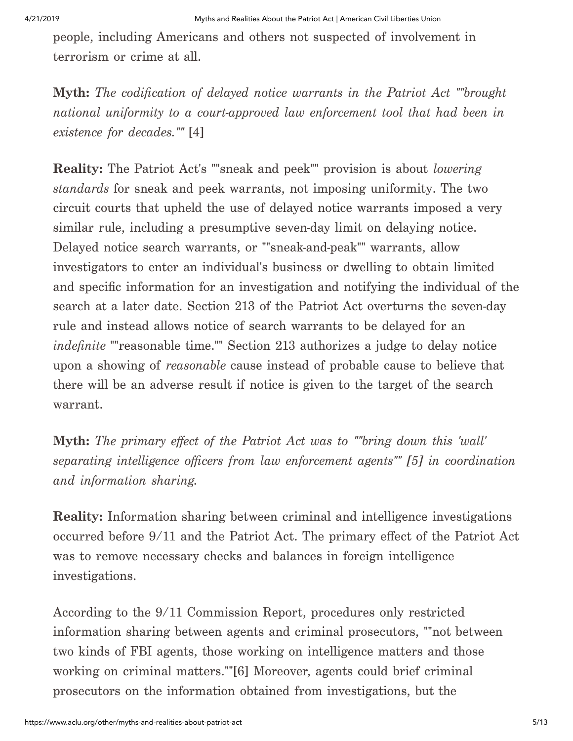people, including Americans and others not suspected of involvement in terrorism or crime at all.

Myth: *The codification of delayed notice warrants in the Patriot Act ""brought national uniformity to a court-approved law enforcement tool that had been in existence for decades.""* [4]

Reality: The Patriot Act's ""sneak and peek"" provision is about *lowering standards* for sneak and peek warrants, not imposing uniformity. The two circuit courts that upheld the use of delayed notice warrants imposed a very similar rule, including a presumptive seven-day limit on delaying notice. Delayed notice search warrants, or ""sneak-and-peak"" warrants, allow investigators to enter an individual's business or dwelling to obtain limited and specific information for an investigation and notifying the individual of the search at a later date. Section 213 of the Patriot Act overturns the seven-day rule and instead allows notice of search warrants to be delayed for an *indefinite* ""reasonable time."" Section 213 authorizes a judge to delay notice upon a showing of *reasonable* cause instead of probable cause to believe that there will be an adverse result if notice is given to the target of the search warrant.

Myth: *The primary effect of the Patriot Act was to ""bring down this 'wall' separating intelligence officers from law enforcement agents"" [5] in coordination and information sharing.*

Reality: Information sharing between criminal and intelligence investigations occurred before 9/11 and the Patriot Act. The primary effect of the Patriot Act was to remove necessary checks and balances in foreign intelligence investigations.

According to the 9/11 Commission Report, procedures only restricted information sharing between agents and criminal prosecutors, ""not between two kinds of FBI agents, those working on intelligence matters and those working on criminal matters.""[6] Moreover, agents could brief criminal prosecutors on the information obtained from investigations, but the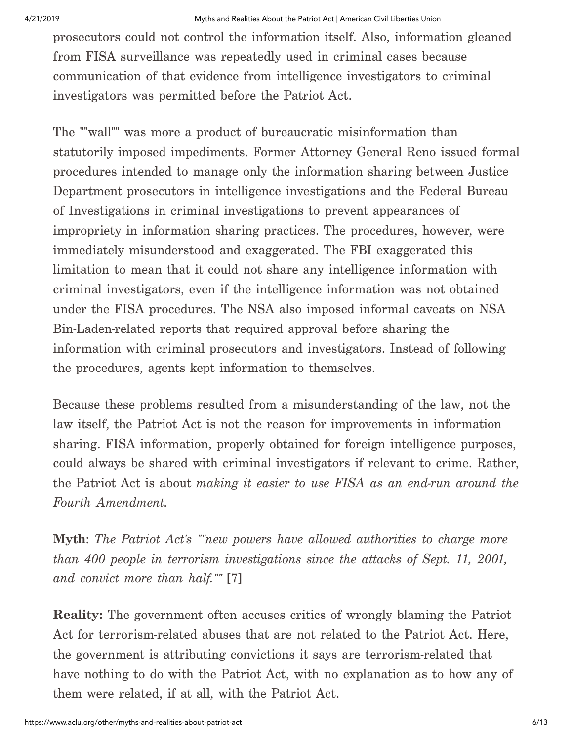prosecutors could not control the information itself. Also, information gleaned from FISA surveillance was repeatedly used in criminal cases because communication of that evidence from intelligence investigators to criminal investigators was permitted before the Patriot Act.

The ""wall"" was more a product of bureaucratic misinformation than statutorily imposed impediments. Former Attorney General Reno issued formal procedures intended to manage only the information sharing between Justice Department prosecutors in intelligence investigations and the Federal Bureau of Investigations in criminal investigations to prevent appearances of impropriety in information sharing practices. The procedures, however, were immediately misunderstood and exaggerated. The FBI exaggerated this limitation to mean that it could not share any intelligence information with criminal investigators, even if the intelligence information was not obtained under the FISA procedures. The NSA also imposed informal caveats on NSA Bin-Laden-related reports that required approval before sharing the information with criminal prosecutors and investigators. Instead of following the procedures, agents kept information to themselves.

Because these problems resulted from a misunderstanding of the law, not the law itself, the Patriot Act is not the reason for improvements in information sharing. FISA information, properly obtained for foreign intelligence purposes, could always be shared with criminal investigators if relevant to crime. Rather, the Patriot Act is about *making it easier to use FISA as an end-run around the Fourth Amendment.*

Myth: *The Patriot Act's ""new powers have allowed authorities to charge more than 400 people in terrorism investigations since the attacks of Sept. 11, 2001, and convict more than half.""* [7]

Reality: The government often accuses critics of wrongly blaming the Patriot Act for terrorism-related abuses that are not related to the Patriot Act. Here, the government is attributing convictions it says are terrorism-related that have nothing to do with the Patriot Act, with no explanation as to how any of them were related, if at all, with the Patriot Act.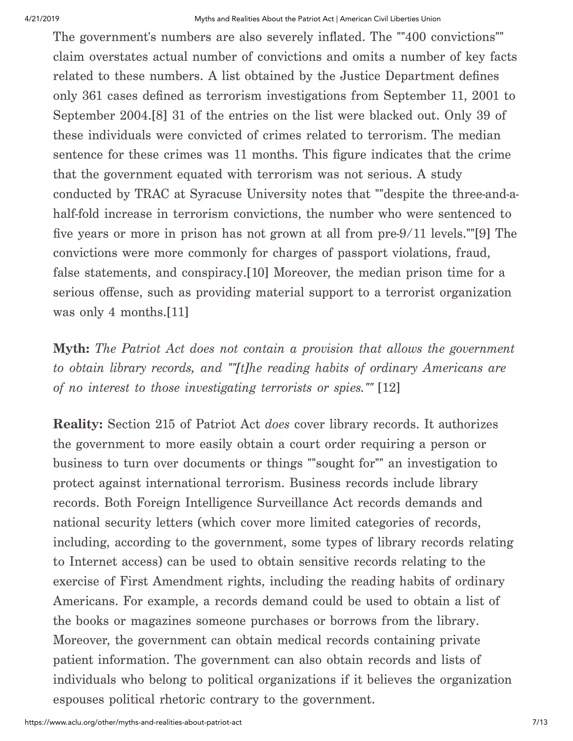The government's numbers are also severely inflated. The ""400 convictions"" claim overstates actual number of convictions and omits a number of key facts related to these numbers. A list obtained by the Justice Department defines only 361 cases defined as terrorism investigations from September 11, 2001 to September 2004.[8] 31 of the entries on the list were blacked out. Only 39 of these individuals were convicted of crimes related to terrorism. The median sentence for these crimes was 11 months. This figure indicates that the crime that the government equated with terrorism was not serious. A study conducted by TRAC at Syracuse University notes that ""despite the three-and-ahalf-fold increase in terrorism convictions, the number who were sentenced to five years or more in prison has not grown at all from pre-9/11 levels.""[9] The convictions were more commonly for charges of passport violations, fraud, false statements, and conspiracy.[10] Moreover, the median prison time for a serious offense, such as providing material support to a terrorist organization was only 4 months.[11]

Myth: *The Patriot Act does not contain a provision that allows the government to obtain library records, and ""[t]he reading habits of ordinary Americans are of no interest to those investigating terrorists or spies.""* [12]

Reality: Section 215 of Patriot Act *does* cover library records. It authorizes the government to more easily obtain a court order requiring a person or business to turn over documents or things ""sought for"" an investigation to protect against international terrorism. Business records include library records. Both Foreign Intelligence Surveillance Act records demands and national security letters (which cover more limited categories of records, including, according to the government, some types of library records relating to Internet access) can be used to obtain sensitive records relating to the exercise of First Amendment rights, including the reading habits of ordinary Americans. For example, a records demand could be used to obtain a list of the books or magazines someone purchases or borrows from the library. Moreover, the government can obtain medical records containing private patient information. The government can also obtain records and lists of individuals who belong to political organizations if it believes the organization espouses political rhetoric contrary to the government.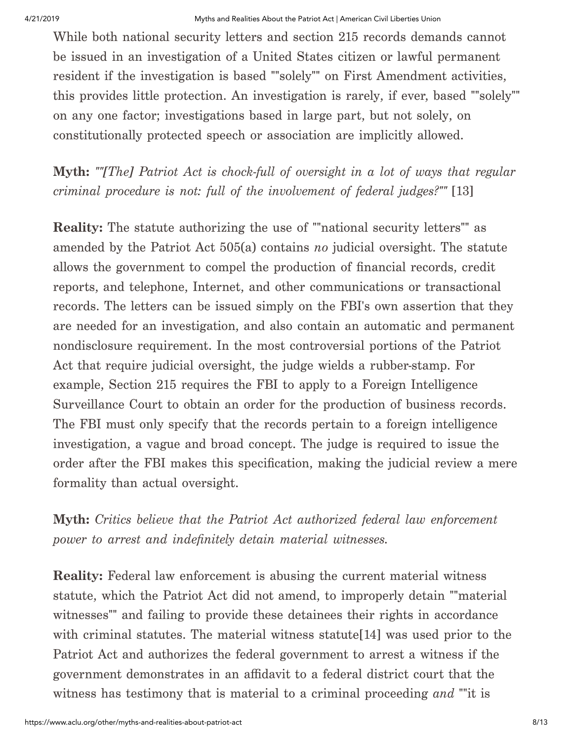While both national security letters and section 215 records demands cannot be issued in an investigation of a United States citizen or lawful permanent resident if the investigation is based ""solely"" on First Amendment activities, this provides little protection. An investigation is rarely, if ever, based ""solely"" on any one factor; investigations based in large part, but not solely, on constitutionally protected speech or association are implicitly allowed.

Myth: *""[The] Patriot Act is chock-full of oversight in a lot of ways that regular criminal procedure is not: full of the involvement of federal judges?""* [13]

Reality: The statute authorizing the use of ""national security letters"" as amended by the Patriot Act 505(a) contains *no* judicial oversight. The statute allows the government to compel the production of financial records, credit reports, and telephone, Internet, and other communications or transactional records. The letters can be issued simply on the FBI's own assertion that they are needed for an investigation, and also contain an automatic and permanent nondisclosure requirement. In the most controversial portions of the Patriot Act that require judicial oversight, the judge wields a rubber-stamp. For example, Section 215 requires the FBI to apply to a Foreign Intelligence Surveillance Court to obtain an order for the production of business records. The FBI must only specify that the records pertain to a foreign intelligence investigation, a vague and broad concept. The judge is required to issue the order after the FBI makes this specification, making the judicial review a mere formality than actual oversight.

Myth: *Critics believe that the Patriot Act authorized federal law enforcement power to arrest and indefinitely detain material witnesses.*

Reality: Federal law enforcement is abusing the current material witness statute, which the Patriot Act did not amend, to improperly detain ""material witnesses"" and failing to provide these detainees their rights in accordance with criminal statutes. The material witness statute [14] was used prior to the Patriot Act and authorizes the federal government to arrest a witness if the government demonstrates in an affidavit to a federal district court that the witness has testimony that is material to a criminal proceeding *and* ""it is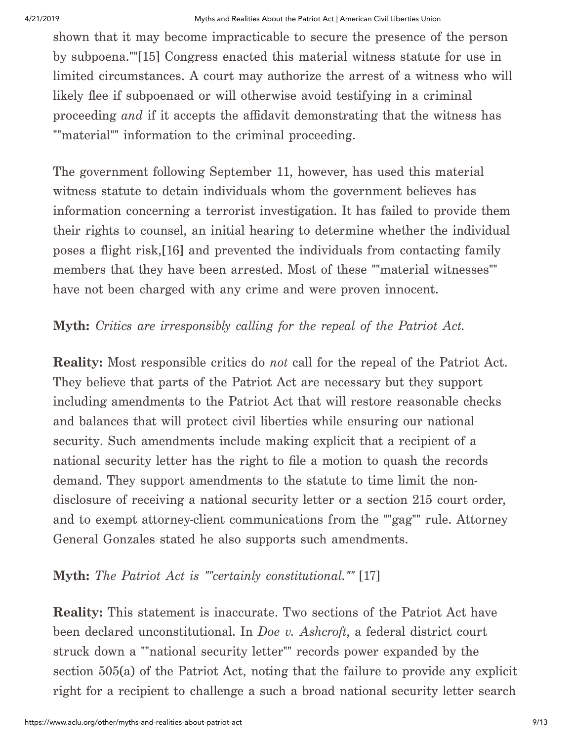shown that it may become impracticable to secure the presence of the person by subpoena.""[15] Congress enacted this material witness statute for use in limited circumstances. A court may authorize the arrest of a witness who will likely flee if subpoenaed or will otherwise avoid testifying in a criminal proceeding *and* if it accepts the affidavit demonstrating that the witness has ""material"" information to the criminal proceeding.

The government following September 11, however, has used this material witness statute to detain individuals whom the government believes has information concerning a terrorist investigation. It has failed to provide them their rights to counsel, an initial hearing to determine whether the individual poses a flight risk,[16] and prevented the individuals from contacting family members that they have been arrested. Most of these ""material witnesses"" have not been charged with any crime and were proven innocent.

## Myth: *Critics are irresponsibly calling for the repeal of the Patriot Act.*

Reality: Most responsible critics do *not* call for the repeal of the Patriot Act. They believe that parts of the Patriot Act are necessary but they support including amendments to the Patriot Act that will restore reasonable checks and balances that will protect civil liberties while ensuring our national security. Such amendments include making explicit that a recipient of a national security letter has the right to file a motion to quash the records demand. They support amendments to the statute to time limit the nondisclosure of receiving a national security letter or a section 215 court order, and to exempt attorney-client communications from the ""gag"" rule. Attorney General Gonzales stated he also supports such amendments.

# Myth: *The Patriot Act is ""certainly constitutional.""* [17]

Reality: This statement is inaccurate. Two sections of the Patriot Act have been declared unconstitutional. In *Doe v. Ashcroft*, a federal district court struck down a ""national security letter"" records power expanded by the section 505(a) of the Patriot Act, noting that the failure to provide any explicit right for a recipient to challenge a such a broad national security letter search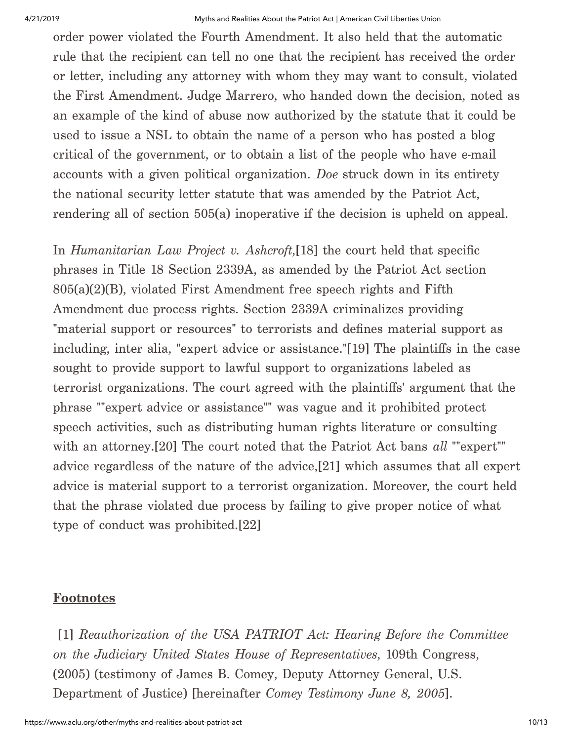order power violated the Fourth Amendment. It also held that the automatic rule that the recipient can tell no one that the recipient has received the order or letter, including any attorney with whom they may want to consult, violated the First Amendment. Judge Marrero, who handed down the decision, noted as an example of the kind of abuse now authorized by the statute that it could be used to issue a NSL to obtain the name of a person who has posted a blog critical of the government, or to obtain a list of the people who have e-mail accounts with a given political organization. *Doe* struck down in its entirety the national security letter statute that was amended by the Patriot Act, rendering all of section 505(a) inoperative if the decision is upheld on appeal.

In *Humanitarian Law Project v. Ashcroft*,[18] the court held that specific phrases in Title 18 Section 2339A, as amended by the Patriot Act section 805(a)(2)(B), violated First Amendment free speech rights and Fifth Amendment due process rights. Section 2339A criminalizes providing "material support or resources" to terrorists and defines material support as including, inter alia, "expert advice or assistance."[19] The plaintiffs in the case sought to provide support to lawful support to organizations labeled as terrorist organizations. The court agreed with the plaintiffs' argument that the phrase ""expert advice or assistance"" was vague and it prohibited protect speech activities, such as distributing human rights literature or consulting with an attorney.[20] The court noted that the Patriot Act bans *all* ""expert"" advice regardless of the nature of the advice,[21] which assumes that all expert advice is material support to a terrorist organization. Moreover, the court held that the phrase violated due process by failing to give proper notice of what type of conduct was prohibited.[22]

### **Footnotes**

[1] *Reauthorization of the USA PATRIOT Act: Hearing Before the Committee on the Judiciary United States House of Representatives*, 109th Congress, (2005) (testimony of James B. Comey, Deputy Attorney General, U.S. Department of Justice) [hereinafter *Comey Testimony June 8, 2005*].